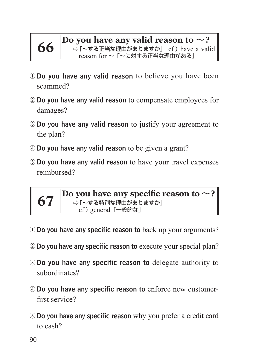**66 Do you have any valid reason to ~?**<br> **66** •  $\frac{1}{2}$   $\frac{1}{2}$   $\frac{1}{2}$   $\frac{1}{2}$   $\frac{1}{2}$   $\frac{1}{2}$   $\frac{1}{2}$   $\frac{1}{2}$   $\frac{1}{2}$   $\frac{1}{2}$   $\frac{1}{2}$   $\frac{1}{2}$   $\frac{1}{2}$   $\frac{1}{2}$   $\frac{1}{2}$   $\frac{1}{2}$   $\frac{1}{2}$  reason for 〜「〜に対する正当な理由がある」

- **①** Do you have any valid reason to believe you have been scammed?
- **②** Do you have any valid reason to compensate employees for damages?
- **③** Do you have any valid reason to justify your agreement to the plan?
- **④** Do you have any valid reason to be given a grant?
- **⑤** Do you have any valid reason to have your travel expenses reimbursed?



**67 Do you have any specific reason to** ~**?** ⇨「~する特別な理由がありますか」 cf) general [一般的な]

- **①** Do you have any specific reason to back up your arguments?
- **②** Do you have any specific reason to execute your special plan?
- **③** Do you have any specific reason to delegate authority to subordinates?
- **④** Do you have any specific reason to enforce new customerfirst service?
- **⑤** Do you have any specific reason why you prefer a credit card to cash?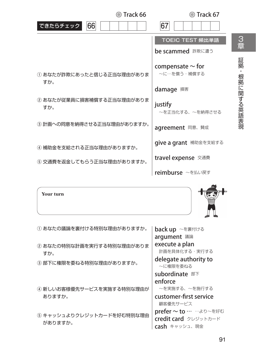| ◎ Track 66                       | ⊙ Track 67                           |            |
|----------------------------------|--------------------------------------|------------|
| できたらチェック<br>66                   | 67                                   |            |
|                                  | TOEIC TEST 頻出単語                      | 3<br>章     |
|                                  | be scammed 詐欺に遭う                     |            |
| ① あなたが詐欺にあったと信じる正当な理由がありま<br>すか。 | compensate $\sim$ for<br>~に…を償う・補償する | 証拠         |
|                                  | damage 損害                            |            |
| ② あなたが従業員に損害補償する正当な理由がありま<br>すか。 | justify<br>~を正当化する、~を納得させる           | 根拠に関する英語表現 |
| ③ 計画への同意を納得させる正当な理由がありますか。       | agreement 同意、 賛成                     |            |
| 4 補助金を支給される正当な理由がありますか。          | <b>give a grant</b> 補助金を支給する         |            |
| ⑤ 交通費を返金してもらう正当な理由がありますか。        | travel expense 交通費                   |            |
|                                  | reimburse ~を払い戻す                     |            |
|                                  |                                      |            |

**Your turn**



| ① あなたの議論を裏付ける特別な理由がありますか。        | back up ~を裏付ける                    |
|----------------------------------|-----------------------------------|
|                                  | argument 議論                       |
| ② あなたの特別な計画を実行する特別な理由がありま<br>すか。 | execute a plan<br>計画を具体化する・実行する   |
| ③ 部下に権限を委ねる特別な理由がありますか。          | delegate authority to<br>~に権限を委ねる |
|                                  | subordinate 部下                    |
|                                  | enforce                           |
| 4 新しいお客様優先サービスを実施する特別な理由が        | ~を実施する、~を施行する                     |
| ありますか。                           | customer-first service            |
|                                  | 顧客優先サービス                          |
| 5 キャッシュよりクレジットカードを好む特別な理由        | prefer ~ to … …より~を好む             |
| がありますか。                          | credit card クレジットカード              |
|                                  | <b>cash</b> キャッシュ、現金              |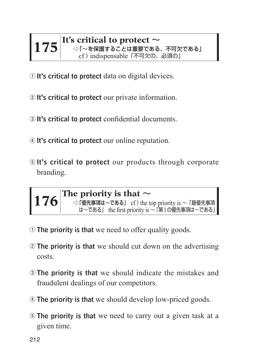## **It's critical to protect** <sup>~</sup> ⇨「~を保護することは重要である、不可欠である」 cf ) indispensable「不可欠の、必須の」

- It's critical to protect data on digital devices.
- It's critical to protect our private information.
- It's critical to protect confidential documents.
- It's critical to protect our online reputation.
- It's critical to protect our products through corporate branding.



- The priority is that we need to offer quality goods.
- The priority is that we should cut down on the advertising costs.
- The priority is that we should indicate the mistakes and fraudulent dealings of our competitors.
- The priority is that we should develop low-priced goods.
- The priority is that we need to carry out a given task at a given time.